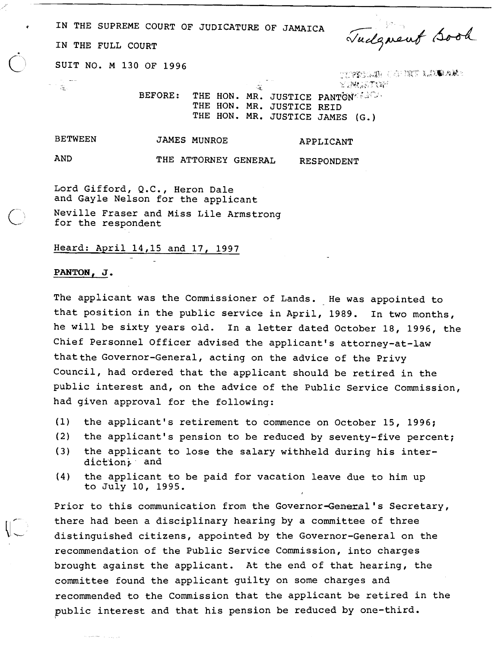IN THE SUPREME COURT OF JUDICATURE OF JAMAICA

Tudgment Book

IN THE FULL COURT

SUIT NO. M 130 OF 1996

ttypesoar ook het lindaar

لَّهُ بِنَ الْمَجْمَعِ بِهِمْ بِنَ الْمَجْمِعِ بِهِمْ بِنَ الْمَجْمِعِينَ بِهِمْ BEFORE: THE HON. MR. JUSTICE PANT©N THE HON. MR. JUSTICE REID THE HON. MR. JUSTICE JAMES (G. )

BETWEEN JAMES MUNROE APPLICANT

AND THE ATTORNEY GENERAL RESPONDENT

ं मु

Lord Gifford, Q.C., Heron Dale and Gayle Nelson for the applicant Neville Fraser and Miss Lile Armstrong

for the respondent

# Heard: April 14,15 and 17, 1997

#### **PANTON, <sup>J</sup>**.

 $\mathcal{F}(\mathcal{F})$  is a set of the  $\mathcal{F}(\mathcal{F})$  ,  $\mathcal{F}(\mathcal{F})$  ,  $\mathcal{F}(\mathcal{F})$  ,  $\mathcal{F}(\mathcal{F})$ 

The applicant was the Commissioner of Lands. He was appointed to that position in the public service in April, 1989. In two months, he will be sixty years old. In a letter dated October 18, 1996, the Chief Personnel Officer advised the applicant's attorney-at-law thatthe Governor-General, acting on the advice of the Privy Council, had ordered that the applicant should be retired in the public interest and, on the advice of the Public Service Commission, had given approval for the following:

- (1) the applicant's retirement to commence on October 15, 1996;
- (2) the applicant's pension to be reduced by seventy-five percent;
- **(3)** the applicant to lose the salary withheld during his interdiction: and
- (4) the applicant to be paid for vacation leave due to him up to July 10, 1995.

Prior to this communication from the Governor-General's Secretary, there had been a disciplinary hearing by a committee of three distinguished citizens, appointed by the Governor-General on the recommendation of the Public Service Commission, into charges brought against the applicant. At the end of that hearing, the committee found the applicant guilty on some charges and recommended to the Commission that the applicant be retired in the public interest and that his pension be reduced by one-third.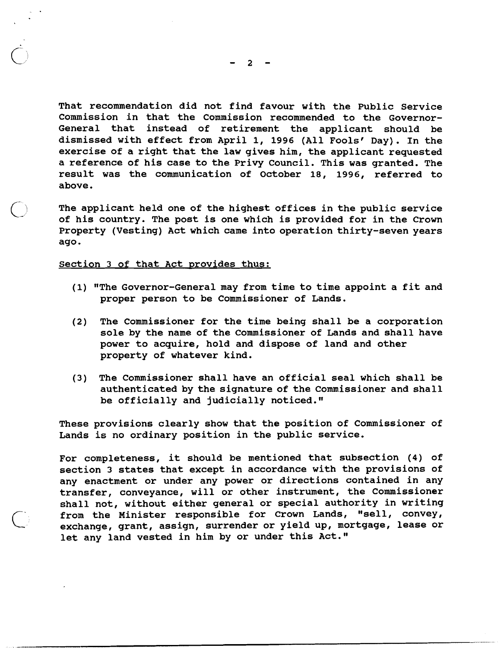**That recommendation did not find favour with the Public Service Commission in that the Commission recommended to the Governor-General that instead of retirement the applicant should be dismissed with effect from April 1, 1996 (All Foolsf Day). In the exercise of a right that the law gives him, the applicant requested a reference of his case to the Privy council. This was granted. The result was the communication of October 18, 1996, referred to above.** 

The applicant held one of the highest offices in the public service **of his country. The post is one which is provided for in the Crown Property (Vesting) Act which came into operation thirty-seven years ago.** 

#### **Section 3 of that Act provides thus:**

- **(1) "The Governor-General may from time to time appoint a fit and proper person to be Commissioner of Lands.**
- **(2) The Commissioner for the time being shall be a corporation sole by the name of the Commissioner of Lands and shall have power to acquire, hold and dispose of land and other property of whatever kind.**
- **(3) The Commissioner shall have an official seal which shall be authenticated by the signature of the Commissioner and shall be officially and judicially noticed."**

**These provisions clearly show that the position of Commissioner of Lands is no ordinary position in the public service.** 

**For completeness, it should be mentioned that subsection (4) of section 3 states that except in accordance with the provisions of any enactment or under any power or directions contained in any transfer, conveyance, will or other instrument, the Commissioner shall not, without either general or special authority in writing**  C **from the Minister responsible for Crown Lands, "sell, convey, exchange, grant, assign, surrender or yield up, mortgage, lease or let any land vested in him by or under this Act."**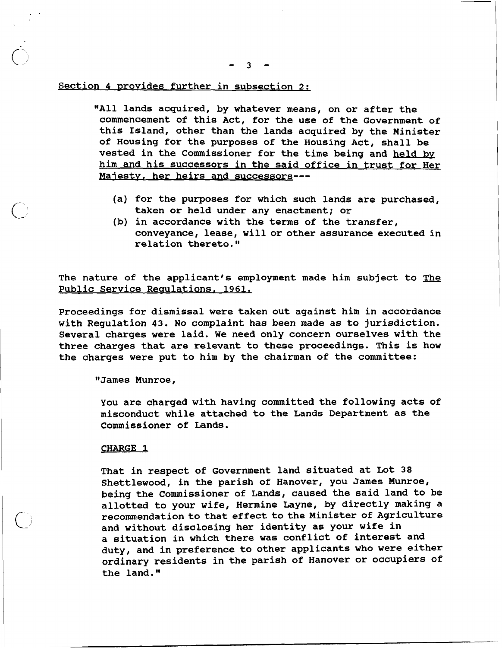$-3 - -$ 

## Section 4 provides further in subsection 2:

**ptAll lands acquired, by whatever means, on or after the commencement of this Act, for the use of the Government of this Island, other than the lands acquired by the Minister of Housing for the purposes of the Housing Act, shall be vested in the Commissioner for the time being and held bv him and his successors in the said office in trust for Her Maiestv. her heirs and successors---** 

- **(a) for the purposes for which such lands are purchased, taken or held under any enactment; or**
- **(b) in accordance with the terms of the transfer, conveyance, lease, will or other assurance executed in relation thereto.**

The nature of the applicant's employment made him subject to The Public Service Requlations, 1961.

**Proceedings for dismissal were taken out against him in accordance with Regulation 43. No complaint has been made as to jurisdiction. Several charges were laid. We need only concern ourselves with the three charges that are relevant to these proceedings. This is how the charges were put to him by the chairman of the committee:** 

**"James Munroe,** 

**You are charged with having committed the following acts of misconduct while attached to the Lands Department as the Commissioner of Lands.** 

### **CHARGE 1**

**That in respect of Government land situated at Lot 38 Shettlewood, in the parish of Hanover, you James Munroe, being the Commissioner of Lands, caused the said land to be allotted to your wife, Hermine Layne, by directly making a recommendation to that effect to the Minister of Agriculture and without disclosing her identity as your wife in a situation in which there was conflict of interest and duty, and in preference to other applicants who were either ordinary residents in the parish of Hanover or occupiers of the land."**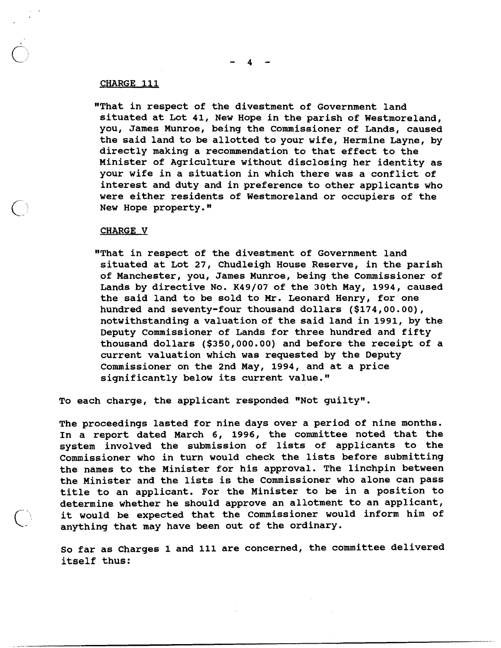#### **CHARGE 111**

**"That in respect of the divestment of Government land situated at Lot 41, New Hope in the parish of Westmoreland, you, James Munroe, being the Commissioner of Lands, caused the said land to be allotted to your wife, Hermine Layne, by directly making a recommendation to that effect to the Minister of Agriculture without disclosing her identity as your wife in a situation in which there was a conflict of interest and duty and in preference to other applicants who were either residents of Westmoreland or occupiers of the**  New Hope property."

## **CHARGE V**

**"That in respect of the divestment of Government land situated at Lot 27, Chudleigh House Reserve, in the parish of Manchester, you, James Munroe, being the Commissioner of Lands by directive No. K49/07 of the 30th May, 1994, caused the said land to be sold to Mr. Leonard Henry, for one hundred and seventy-four thousand dollars (\$174,00.00), notwithstanding a valuation of the said land in 1991, by the Deputy Commissioner of Lands for three hundred and fifty thousand dollars (\$350,000.00) and before the receipt of a current valuation which was requested by the Deputy Commissioner on the 2nd May, 1994, and at a price**  significantly below its current value."

To each charge, the applicant responded "Not guilty".

**The proceedings lasted for nine days over a period of nine months. In a report dated March 6, 1996, the committee noted that the system involved the submission of lists of applicants to the Commissioner who in turn would check the lists before submitting the names to the Minister for his approval. The linchpin between the Minister and the lists is the Commissioner who alone can pass title to an applicant. For the Minister to be in a position to determine whether he should approve an allotment to an applicant, it would be expected that the Commissioner would inform him of anything that may have been out of the ordinary.** 

**So far as Charges 1 and 111 are concerned, the committee delivered itself thus:**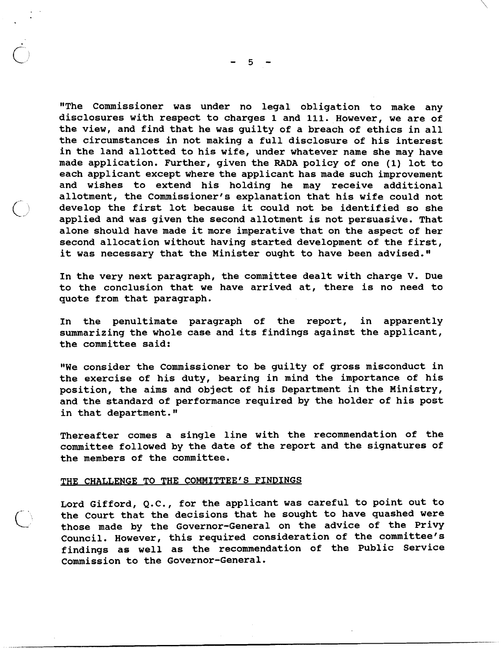**"The Commissioner was under no legal obligation to make any disclosures with respect to charges 1 and 111. However, we are of the view, and find that he was guilty of a breach of ethics in all the circumstances in not making a full disclosure of his interest in the land allotted to his wife, under whatever name she may have made application. Further, given the RADA policy of one (1) lot to each applicant except where the applicant has made such improvement and wishes to extend his holding he may receive additional allotment, the Commissioner's explanation that his wife could not develop the first lot because it could not be identified so she applied and was given the second allotment is not persuasive. That alone should have made it more imperative that on the aspect of her second allocation without having started development of the first,**  it was necessary that the Minister ought to have been advised."

**In the very next paragraph, the committee dealt with charge V. Due to the conclusion that we have arrived at, there is no need to quote from that paragraph.** 

**In the penultimate paragraph of the report, in apparently summarizing the whole case and its findings against the applicant, the committee said:** 

**I8We consider the Commissioner to be guilty of gross misconduct in the exercise of his duty, bearing in mind the importance of his position, the aims and object of his Department in the Ministry, and the standard of performance required by the holder of his post in that department."** 

**Thereafter comes a single line with the recommendation of the committee followed by the date of the report and the signatures of the members of the committee.** 

# **THE CHALLENGE TO THE COMMITTEE'S FINDINGS**

**Lord Gifford, Q.C., for the applicant was careful to point out to the Court that the decisions that he sought to have quashed were those made by the Governor-General on the advice of the Privy Council. However, this required consideration of the committeefs findings as well as the recommendation of the Public Service Commission to the Governor-General.**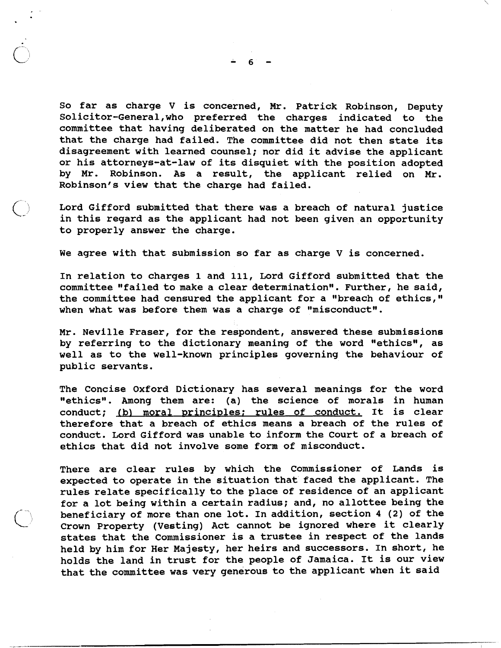**So far as charge V is concerned, Mr. Patrick Robinson, Deputy Solicitor-Genera1,who preferred the charges indicated to the committee that having deliberated on the matter he had concluded that the charge had failed. The committee did not then state its disagreement with learned counsel; nor did it advise the applicant or his attorneys-at-law of its disquiet with the position adopted by Mr. Robinson. As a result, the applicant relied on Mr. Robinson's view that the charge had failed.** 

**Lord Gifford submitted that there was a breach of natural justice in this regard as the applicant had not been given an opportunity to properly answer the charge.** 

**We agree with that submission so far as charge V is concerned.** 

**In relation to charges 1 and 111, Lord Gifford submitted that the**  committee "failed to make a clear determination". Further, he said, the committee had censured the applicant for a "breach of ethics," **when what was before them was a charge of wmisconductw.** 

**Mr. Neville Fraser, for the respondent, answered these submissions**  by referring to the dictionary meaning of the word "ethics", as **well as to the well-known principles governing the behaviour of public servants.** 

**The Concise Oxford Dictionary has several meanings for the word**  "ethics". Among them are: (a) the science of morals in human **conduct; (b) moral orinciples: rules of conduct. It is clear therefore that a breach of ethics means a breach of the rules of conduct. Lord Gif ford was unable to inform the Court of a breach of ethics that did not involve some form of misconduct.** 

**There are clear rules by which the Commissioner of Lands is expected to operate in the situation that faced the applicant. The rules relate specifically to the place of residence of an applicant for a lot being within a certain radius; and, no allottee being the beneficiary of more than one lot. In addition, section 4 (2) of the Crown Property (Vesting) Act cannot be ignored where it clearly states that the Commissioner is a trustee in respect of the lands held by him for Her Majesty, her heirs and successors. In short, he holds the land in trust for the people of Jamaica. It is our view that the committee was very generous to the applicant when it said**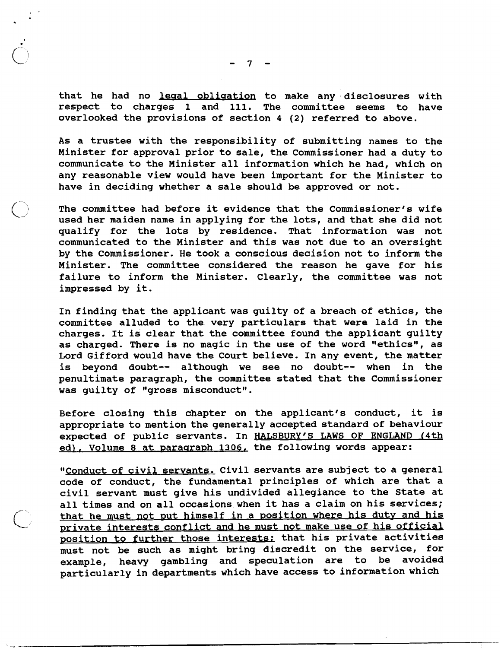$\overline{7}$ 

that he had no legal obligation to make any disclosures with **respect to charges 1 and 111. The committee seems to have overlooked the provisions of section 4 (2) referred to above.** 

**As a trustee with the responsibility of submitting names to the Minister for approval prior to sale, the Commissioner had a duty to communicate to the Minister all information which he had, which on any reasonable view would have been important for the Minister to have in deciding whether a sale should be approved or not.** 

The committee had before it evidence that the Commissioner's wife **used her maiden name in applying for the lots, and that she did not qualify for the lots by residence. That information was not communicated to the Minister and this was not due to an oversight by the Commissioner. He took a conscious decision not to inform the Minister. The committee considered the reason he gave for his failure to inform the Minister. Clearly, the committee was not impressed by it.** 

**In finding that the applicant was guilty of a breach of ethics, the committee alluded to the very particulars that were laid in the charges. It is clear that the committee found the applicant guilty**  as charged. There is no magic in the use of the word "ethics", as **Lord Gif ford would have the Court believe. In any event, the matter is beyond doubt-- although we see no doubt-- when in the penultimate paragraph, the committee stated that the Commissioner**  was quilty of "gross misconduct".

**Before closing this chapter on the applicant's conduct, it is appropriate to mention the generally accepted standard of behaviour expected of public servants. In HALSBURY'S LAWS OF ENGLAND (4th**  ed), Volume 8 at paragraph 1306, the following words appear:

"Conduct of civil servants. Civil servants are subject to a general **code of conduct, the fundamental principles of which are that a civil servant must give his undivided allegiance to the State at all times and on all occasions when it has a claim on his services;**  that he must not put himself in a position where his duty and his **private interests conflict and he must not make use of his official position to further those interests; that his private activities must not be such as might bring discredit on the service, for**  example, heavy gambling and speculation are to be **particularly in departments which have access to information which**